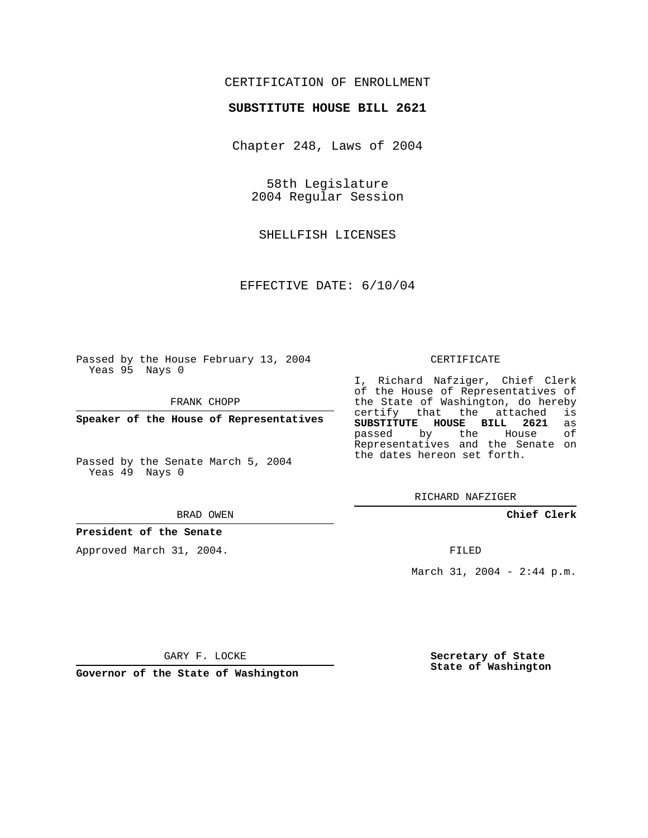# CERTIFICATION OF ENROLLMENT

### **SUBSTITUTE HOUSE BILL 2621**

Chapter 248, Laws of 2004

58th Legislature 2004 Regular Session

SHELLFISH LICENSES

EFFECTIVE DATE: 6/10/04

Passed by the House February 13, 2004 Yeas 95 Nays 0

FRANK CHOPP

**Speaker of the House of Representatives**

Passed by the Senate March 5, 2004 Yeas 49 Nays 0

#### BRAD OWEN

### **President of the Senate**

Approved March 31, 2004.

#### CERTIFICATE

I, Richard Nafziger, Chief Clerk of the House of Representatives of the State of Washington, do hereby<br>certify that the attached is certify that the attached **SUBSTITUTE HOUSE BILL 2621** as passed by the Representatives and the Senate on the dates hereon set forth.

RICHARD NAFZIGER

**Chief Clerk**

FILED

March 31, 2004 - 2:44 p.m.

GARY F. LOCKE

**Governor of the State of Washington**

**Secretary of State State of Washington**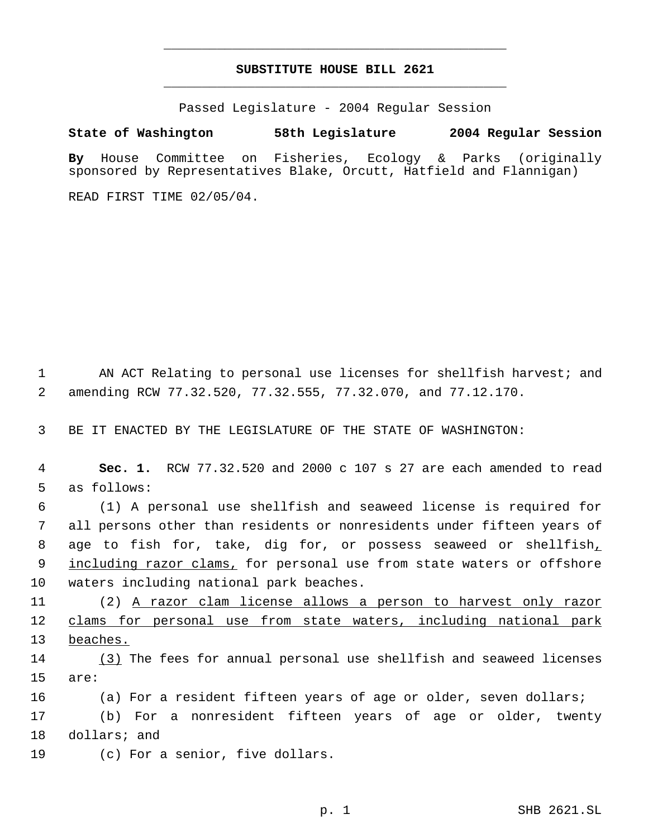# **SUBSTITUTE HOUSE BILL 2621** \_\_\_\_\_\_\_\_\_\_\_\_\_\_\_\_\_\_\_\_\_\_\_\_\_\_\_\_\_\_\_\_\_\_\_\_\_\_\_\_\_\_\_\_\_

\_\_\_\_\_\_\_\_\_\_\_\_\_\_\_\_\_\_\_\_\_\_\_\_\_\_\_\_\_\_\_\_\_\_\_\_\_\_\_\_\_\_\_\_\_

Passed Legislature - 2004 Regular Session

## **State of Washington 58th Legislature 2004 Regular Session**

**By** House Committee on Fisheries, Ecology & Parks (originally sponsored by Representatives Blake, Orcutt, Hatfield and Flannigan)

READ FIRST TIME 02/05/04.

 1 AN ACT Relating to personal use licenses for shellfish harvest; and 2 amending RCW 77.32.520, 77.32.555, 77.32.070, and 77.12.170.

3 BE IT ENACTED BY THE LEGISLATURE OF THE STATE OF WASHINGTON:

 4 **Sec. 1.** RCW 77.32.520 and 2000 c 107 s 27 are each amended to read 5 as follows:

 6 (1) A personal use shellfish and seaweed license is required for 7 all persons other than residents or nonresidents under fifteen years of 8 age to fish for, take, dig for, or possess seaweed or shellfish, 9 including razor clams, for personal use from state waters or offshore 10 waters including national park beaches.

11 (2) A razor clam license allows a person to harvest only razor 12 clams for personal use from state waters, including national park 13 beaches.

14 (3) The fees for annual personal use shellfish and seaweed licenses 15 are:

16 (a) For a resident fifteen years of age or older, seven dollars;

17 (b) For a nonresident fifteen years of age or older, twenty 18 dollars; and

19 (c) For a senior, five dollars.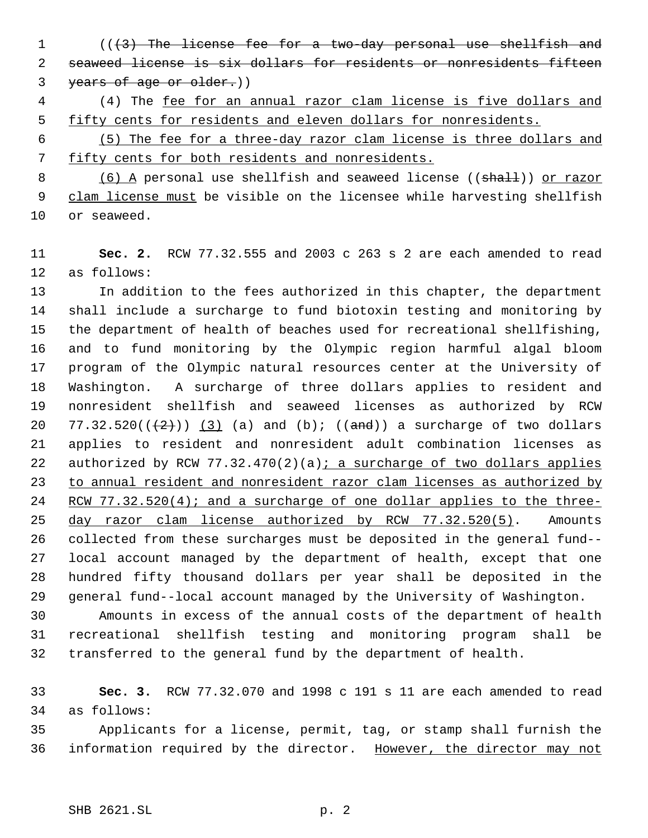- 1 (( $\{3\}$ ) The license fee for a two-day personal use shellfish and seaweed license is six dollars for residents or nonresidents fifteen 3 years of age or older.))
- (4) The fee for an annual razor clam license is five dollars and fifty cents for residents and eleven dollars for nonresidents.
- (5) The fee for a three-day razor clam license is three dollars and fifty cents for both residents and nonresidents.

8 (6) A personal use shellfish and seaweed license ((shall)) or razor 9 clam license must be visible on the licensee while harvesting shellfish or seaweed.

 **Sec. 2.** RCW 77.32.555 and 2003 c 263 s 2 are each amended to read as follows:

 In addition to the fees authorized in this chapter, the department shall include a surcharge to fund biotoxin testing and monitoring by the department of health of beaches used for recreational shellfishing, and to fund monitoring by the Olympic region harmful algal bloom program of the Olympic natural resources center at the University of Washington. A surcharge of three dollars applies to resident and nonresident shellfish and seaweed licenses as authorized by RCW 20 77.32.520 $((+2))$   $(3)$   $(a)$  and  $(b)$ ;  $((and))$  a surcharge of two dollars applies to resident and nonresident adult combination licenses as 22 authorized by RCW  $77.32.470(2)(a)$ ; a surcharge of two dollars applies 23 to annual resident and nonresident razor clam licenses as authorized by RCW 77.32.520(4); and a surcharge of one dollar applies to the three- day razor clam license authorized by RCW 77.32.520(5). Amounts collected from these surcharges must be deposited in the general fund-- local account managed by the department of health, except that one hundred fifty thousand dollars per year shall be deposited in the general fund--local account managed by the University of Washington. Amounts in excess of the annual costs of the department of health

 recreational shellfish testing and monitoring program shall be transferred to the general fund by the department of health.

 **Sec. 3.** RCW 77.32.070 and 1998 c 191 s 11 are each amended to read as follows:

 Applicants for a license, permit, tag, or stamp shall furnish the information required by the director. However, the director may not